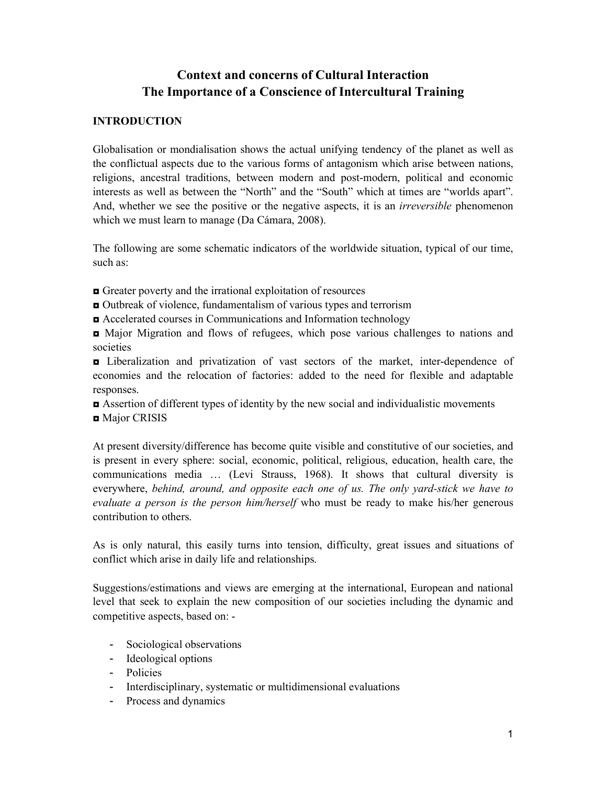# **Context and concerns of Cultural Interaction The Importance of a Conscience of Intercultural Training**

### **INTRODUCTION**

Globalisation or mondialisation shows the actual unifying tendency of the planet as well as the conflictual aspects due to the various forms of antagonism which arise between nations, religions, ancestral traditions, between modern and post-modern, political and economic interests as well as between the "North" and the "South" which at times are "worlds apart". And, whether we see the positive or the negative aspects, it is an *irreversible* phenomenon which we must learn to manage (Da Cámara, 2008).

The following are some schematic indicators of the worldwide situation, typical of our time, such as:

- ◘ Greater poverty and the irrational exploitation of resources
- ◘ Outbreak of violence, fundamentalism of various types and terrorism
- ◘ Accelerated courses in Communications and Information technology
- ◘ Major Migration and flows of refugees, which pose various challenges to nations and societies

◘ Liberalization and privatization of vast sectors of the market, inter-dependence of economies and the relocation of factories: added to the need for flexible and adaptable responses.

◘ Assertion of different types of identity by the new social and individualistic movements ■ Major CRISIS

At present diversity/difference has become quite visible and constitutive of our societies, and is present in every sphere: social, economic, political, religious, education, health care, the communications media … (Levi Strauss, 1968). It shows that cultural diversity is everywhere, *behind, around, and opposite each one of us. The only yard-stick we have to evaluate a person is the person him/herself* who must be ready to make his/her generous contribution to others.

As is only natural, this easily turns into tension, difficulty, great issues and situations of conflict which arise in daily life and relationships.

Suggestions/estimations and views are emerging at the international, European and national level that seek to explain the new composition of our societies including the dynamic and competitive aspects, based on: -

- Sociological observations
- Ideological options
- Policies
- Interdisciplinary, systematic or multidimensional evaluations
- Process and dynamics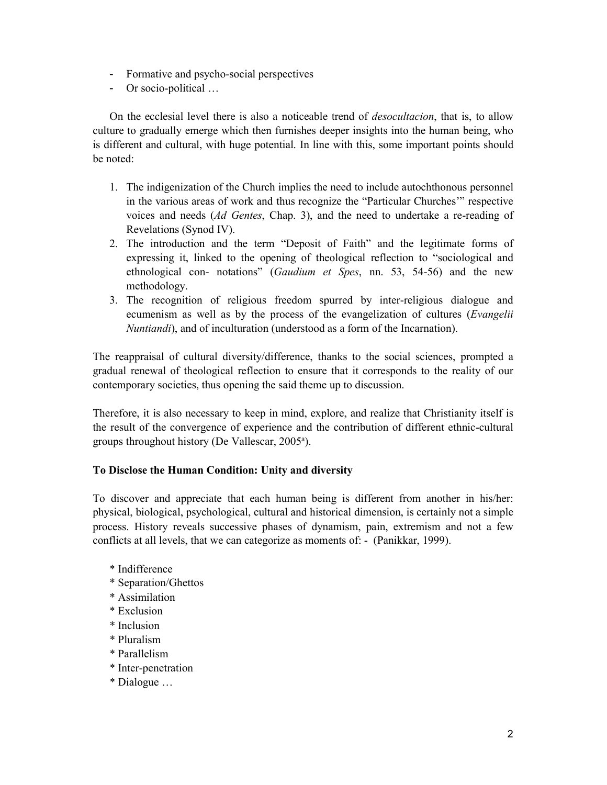- Formative and psycho-social perspectives
- Or socio-political …

On the ecclesial level there is also a noticeable trend of *desocultacion*, that is, to allow culture to gradually emerge which then furnishes deeper insights into the human being, who is different and cultural, with huge potential. In line with this, some important points should be noted:

- 1. The indigenization of the Church implies the need to include autochthonous personnel in the various areas of work and thus recognize the "Particular Churches'" respective voices and needs (*Ad Gentes*, Chap. 3), and the need to undertake a re-reading of Revelations (Synod IV).
- 2. The introduction and the term "Deposit of Faith" and the legitimate forms of expressing it, linked to the opening of theological reflection to "sociological and ethnological con- notations" (*Gaudium et Spes*, nn. 53, 54-56) and the new methodology.
- 3. The recognition of religious freedom spurred by inter-religious dialogue and ecumenism as well as by the process of the evangelization of cultures (*Evangelii Nuntiandi*), and of inculturation (understood as a form of the Incarnation).

The reappraisal of cultural diversity/difference, thanks to the social sciences, prompted a gradual renewal of theological reflection to ensure that it corresponds to the reality of our contemporary societies, thus opening the said theme up to discussion.

Therefore, it is also necessary to keep in mind, explore, and realize that Christianity itself is the result of the convergence of experience and the contribution of different ethnic-cultural groups throughout history (De Vallescar, 2005<sup>a</sup>).

# **To Disclose the Human Condition: Unity and diversity**

To discover and appreciate that each human being is different from another in his/her: physical, biological, psychological, cultural and historical dimension, is certainly not a simple process. History reveals successive phases of dynamism, pain, extremism and not a few conflicts at all levels, that we can categorize as moments of: - (Panikkar, 1999).

- \* Indifference
- \* Separation/Ghettos
- \* Assimilation
- \* Exclusion
- \* Inclusion
- \* Pluralism
- \* Parallelism
- \* Inter-penetration
- \* Dialogue …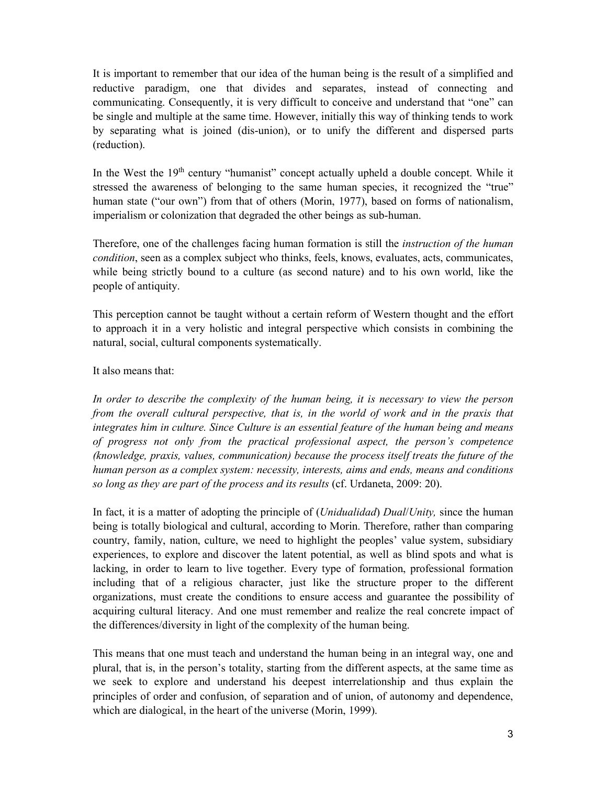It is important to remember that our idea of the human being is the result of a simplified and reductive paradigm, one that divides and separates, instead of connecting and communicating. Consequently, it is very difficult to conceive and understand that "one" can be single and multiple at the same time. However, initially this way of thinking tends to work by separating what is joined (dis-union), or to unify the different and dispersed parts (reduction).

In the West the 19<sup>th</sup> century "humanist" concept actually upheld a double concept. While it stressed the awareness of belonging to the same human species, it recognized the "true" human state ("our own") from that of others (Morin, 1977), based on forms of nationalism, imperialism or colonization that degraded the other beings as sub-human.

Therefore, one of the challenges facing human formation is still the *instruction of the human condition*, seen as a complex subject who thinks, feels, knows, evaluates, acts, communicates, while being strictly bound to a culture (as second nature) and to his own world, like the people of antiquity.

This perception cannot be taught without a certain reform of Western thought and the effort to approach it in a very holistic and integral perspective which consists in combining the natural, social, cultural components systematically.

#### It also means that:

*In order to describe the complexity of the human being, it is necessary to view the person from the overall cultural perspective, that is, in the world of work and in the praxis that integrates him in culture. Since Culture is an essential feature of the human being and means of progress not only from the practical professional aspect, the person's competence (knowledge, praxis, values, communication) because the process itself treats the future of the human person as a complex system: necessity, interests, aims and ends, means and conditions so long as they are part of the process and its results* (cf. Urdaneta, 2009: 20).

In fact, it is a matter of adopting the principle of (*Unidualidad*) *Dual*/*Unity,* since the human being is totally biological and cultural, according to Morin. Therefore, rather than comparing country, family, nation, culture, we need to highlight the peoples' value system, subsidiary experiences, to explore and discover the latent potential, as well as blind spots and what is lacking, in order to learn to live together. Every type of formation, professional formation including that of a religious character, just like the structure proper to the different organizations, must create the conditions to ensure access and guarantee the possibility of acquiring cultural literacy. And one must remember and realize the real concrete impact of the differences/diversity in light of the complexity of the human being.

This means that one must teach and understand the human being in an integral way, one and plural, that is, in the person's totality, starting from the different aspects, at the same time as we seek to explore and understand his deepest interrelationship and thus explain the principles of order and confusion, of separation and of union, of autonomy and dependence, which are dialogical, in the heart of the universe (Morin, 1999).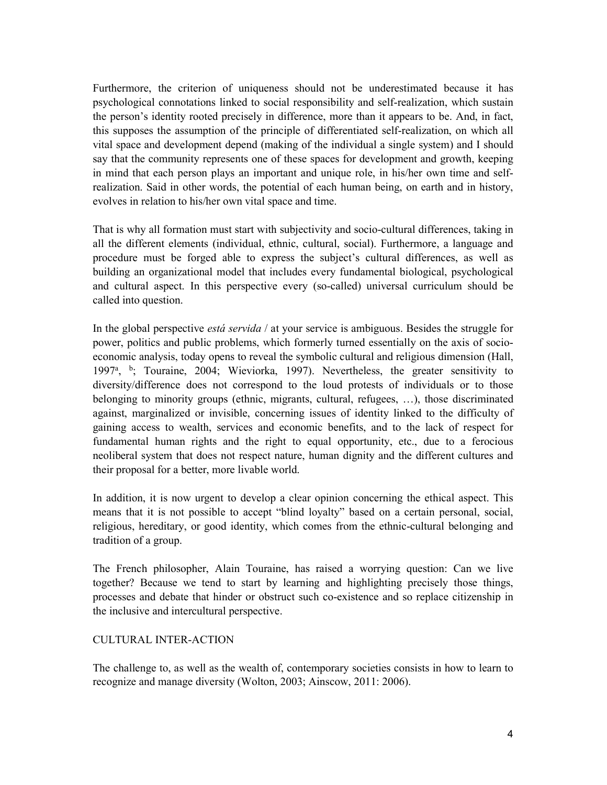Furthermore, the criterion of uniqueness should not be underestimated because it has psychological connotations linked to social responsibility and self-realization, which sustain the person's identity rooted precisely in difference, more than it appears to be. And, in fact, this supposes the assumption of the principle of differentiated self-realization, on which all vital space and development depend (making of the individual a single system) and I should say that the community represents one of these spaces for development and growth, keeping in mind that each person plays an important and unique role, in his/her own time and selfrealization. Said in other words, the potential of each human being, on earth and in history, evolves in relation to his/her own vital space and time.

That is why all formation must start with subjectivity and socio-cultural differences, taking in all the different elements (individual, ethnic, cultural, social). Furthermore, a language and procedure must be forged able to express the subject's cultural differences, as well as building an organizational model that includes every fundamental biological, psychological and cultural aspect. In this perspective every (so-called) universal curriculum should be called into question.

In the global perspective *está servida* / at your service is ambiguous. Besides the struggle for power, politics and public problems, which formerly turned essentially on the axis of socioeconomic analysis, today opens to reveal the symbolic cultural and religious dimension (Hall, 1997<sup>a</sup>, <sup>b</sup>; Touraine, 2004; Wieviorka, 1997). Nevertheless, the greater sensitivity to diversity/difference does not correspond to the loud protests of individuals or to those belonging to minority groups (ethnic, migrants, cultural, refugees, …), those discriminated against, marginalized or invisible, concerning issues of identity linked to the difficulty of gaining access to wealth, services and economic benefits, and to the lack of respect for fundamental human rights and the right to equal opportunity, etc., due to a ferocious neoliberal system that does not respect nature, human dignity and the different cultures and their proposal for a better, more livable world.

In addition, it is now urgent to develop a clear opinion concerning the ethical aspect. This means that it is not possible to accept "blind loyalty" based on a certain personal, social, religious, hereditary, or good identity, which comes from the ethnic-cultural belonging and tradition of a group.

The French philosopher, Alain Touraine, has raised a worrying question: Can we live together? Because we tend to start by learning and highlighting precisely those things, processes and debate that hinder or obstruct such co-existence and so replace citizenship in the inclusive and intercultural perspective.

#### CULTURAL INTER-ACTION

The challenge to, as well as the wealth of, contemporary societies consists in how to learn to recognize and manage diversity (Wolton, 2003; Ainscow, 2011: 2006).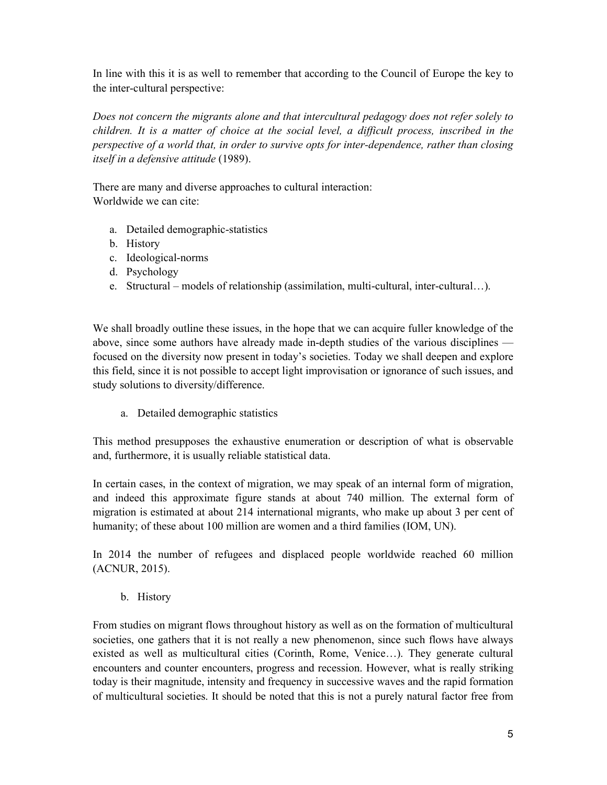In line with this it is as well to remember that according to the Council of Europe the key to the inter-cultural perspective:

*Does not concern the migrants alone and that intercultural pedagogy does not refer solely to children. It is a matter of choice at the social level, a difficult process, inscribed in the perspective of a world that, in order to survive opts for inter-dependence, rather than closing itself in a defensive attitude* (1989).

There are many and diverse approaches to cultural interaction: Worldwide we can cite:

- a. Detailed demographic-statistics
- b. History
- c. Ideological-norms
- d. Psychology
- e. Structural models of relationship (assimilation, multi-cultural, inter-cultural…).

We shall broadly outline these issues, in the hope that we can acquire fuller knowledge of the above, since some authors have already made in-depth studies of the various disciplines focused on the diversity now present in today's societies. Today we shall deepen and explore this field, since it is not possible to accept light improvisation or ignorance of such issues, and study solutions to diversity/difference.

a. Detailed demographic statistics

This method presupposes the exhaustive enumeration or description of what is observable and, furthermore, it is usually reliable statistical data.

In certain cases, in the context of migration, we may speak of an internal form of migration, and indeed this approximate figure stands at about 740 million. The external form of migration is estimated at about 214 international migrants, who make up about 3 per cent of humanity; of these about 100 million are women and a third families (IOM, UN).

In 2014 the number of refugees and displaced people worldwide reached 60 million (ACNUR, 2015).

b. History

From studies on migrant flows throughout history as well as on the formation of multicultural societies, one gathers that it is not really a new phenomenon, since such flows have always existed as well as multicultural cities (Corinth, Rome, Venice…). They generate cultural encounters and counter encounters, progress and recession. However, what is really striking today is their magnitude, intensity and frequency in successive waves and the rapid formation of multicultural societies. It should be noted that this is not a purely natural factor free from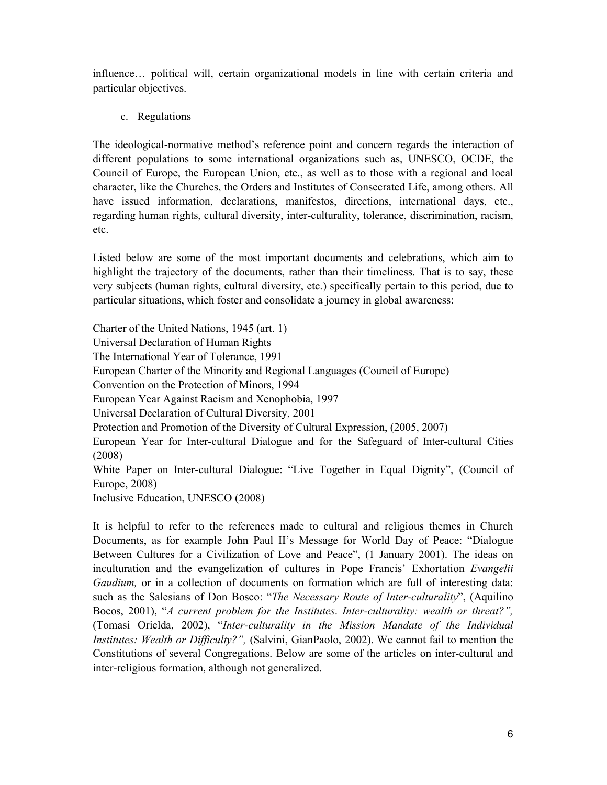influence… political will, certain organizational models in line with certain criteria and particular objectives.

c. Regulations

The ideological-normative method's reference point and concern regards the interaction of different populations to some international organizations such as, UNESCO, OCDE, the Council of Europe, the European Union, etc., as well as to those with a regional and local character, like the Churches, the Orders and Institutes of Consecrated Life, among others. All have issued information, declarations, manifestos, directions, international days, etc., regarding human rights, cultural diversity, inter-culturality, tolerance, discrimination, racism, etc.

Listed below are some of the most important documents and celebrations, which aim to highlight the trajectory of the documents, rather than their timeliness. That is to say, these very subjects (human rights, cultural diversity, etc.) specifically pertain to this period, due to particular situations, which foster and consolidate a journey in global awareness:

Charter of the United Nations, 1945 (art. 1) Universal Declaration of Human Rights The International Year of Tolerance, 1991 European Charter of the Minority and Regional Languages (Council of Europe) Convention on the Protection of Minors, 1994 European Year Against Racism and Xenophobia, 1997 Universal Declaration of Cultural Diversity, 2001 Protection and Promotion of the Diversity of Cultural Expression, (2005, 2007) European Year for Inter-cultural Dialogue and for the Safeguard of Inter-cultural Cities (2008) White Paper on Inter-cultural Dialogue: "Live Together in Equal Dignity", (Council of Europe, 2008) Inclusive Education, UNESCO (2008)

It is helpful to refer to the references made to cultural and religious themes in Church Documents, as for example John Paul II's Message for World Day of Peace: "Dialogue Between Cultures for a Civilization of Love and Peace", (1 January 2001). The ideas on inculturation and the evangelization of cultures in Pope Francis' Exhortation *Evangelii Gaudium,* or in a collection of documents on formation which are full of interesting data: such as the Salesians of Don Bosco: "*The Necessary Route of Inter-culturality*", (Aquilino Bocos, 2001), "*A current problem for the Institutes*. *Inter-culturality: wealth or threat?",* (Tomasi Orielda, 2002), "*Inter-culturality in the Mission Mandate of the Individual Institutes: Wealth or Difficulty?",* (Salvini, GianPaolo, 2002). We cannot fail to mention the Constitutions of several Congregations. Below are some of the articles on inter-cultural and inter-religious formation, although not generalized.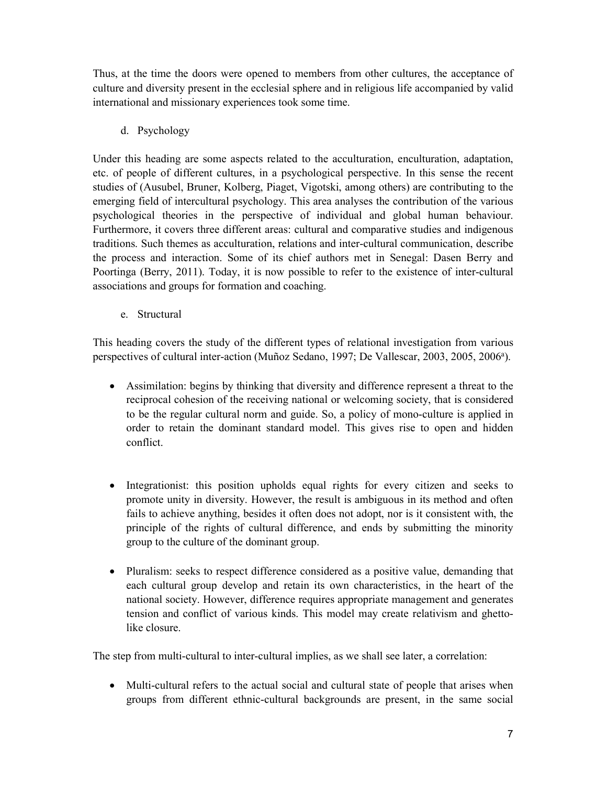Thus, at the time the doors were opened to members from other cultures, the acceptance of culture and diversity present in the ecclesial sphere and in religious life accompanied by valid international and missionary experiences took some time.

# d. Psychology

Under this heading are some aspects related to the acculturation, enculturation, adaptation, etc. of people of different cultures, in a psychological perspective. In this sense the recent studies of (Ausubel, Bruner, Kolberg, Piaget, Vigotski, among others) are contributing to the emerging field of intercultural psychology. This area analyses the contribution of the various psychological theories in the perspective of individual and global human behaviour. Furthermore, it covers three different areas: cultural and comparative studies and indigenous traditions. Such themes as acculturation, relations and inter-cultural communication, describe the process and interaction. Some of its chief authors met in Senegal: Dasen Berry and Poortinga (Berry, 2011). Today, it is now possible to refer to the existence of inter-cultural associations and groups for formation and coaching.

e. Structural

This heading covers the study of the different types of relational investigation from various perspectives of cultural inter-action (Muñoz Sedano, 1997; De Vallescar, 2003, 2005, 2006<sup>a</sup>).

- Assimilation: begins by thinking that diversity and difference represent a threat to the reciprocal cohesion of the receiving national or welcoming society, that is considered to be the regular cultural norm and guide. So, a policy of mono-culture is applied in order to retain the dominant standard model. This gives rise to open and hidden conflict.
- Integrationist: this position upholds equal rights for every citizen and seeks to promote unity in diversity. However, the result is ambiguous in its method and often fails to achieve anything, besides it often does not adopt, nor is it consistent with, the principle of the rights of cultural difference, and ends by submitting the minority group to the culture of the dominant group.
- Pluralism: seeks to respect difference considered as a positive value, demanding that each cultural group develop and retain its own characteristics, in the heart of the national society. However, difference requires appropriate management and generates tension and conflict of various kinds. This model may create relativism and ghettolike closure.

The step from multi-cultural to inter-cultural implies, as we shall see later, a correlation:

• Multi-cultural refers to the actual social and cultural state of people that arises when groups from different ethnic-cultural backgrounds are present, in the same social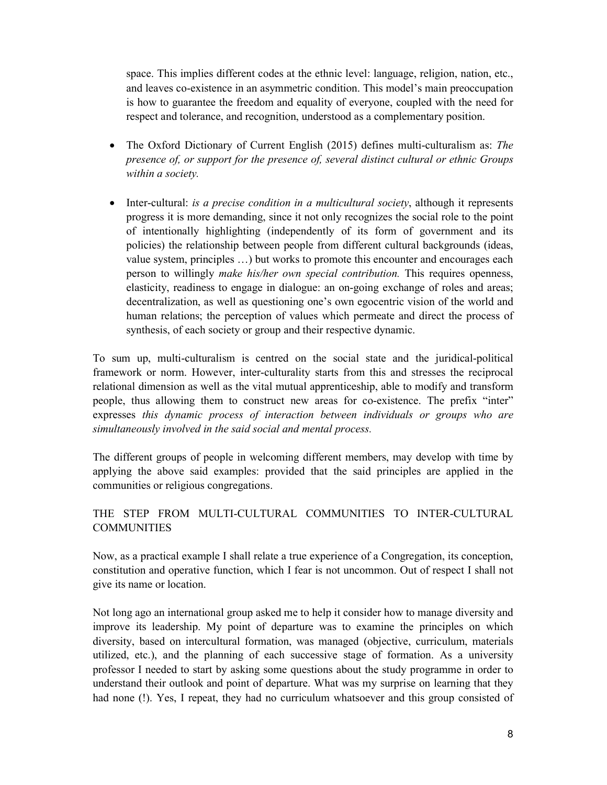space. This implies different codes at the ethnic level: language, religion, nation, etc., and leaves co-existence in an asymmetric condition. This model's main preoccupation is how to guarantee the freedom and equality of everyone, coupled with the need for respect and tolerance, and recognition, understood as a complementary position.

- The Oxford Dictionary of Current English (2015) defines multi-culturalism as: *The presence of, or support for the presence of, several distinct cultural or ethnic Groups within a society.*
- Inter-cultural: *is a precise condition in a multicultural society*, although it represents progress it is more demanding, since it not only recognizes the social role to the point of intentionally highlighting (independently of its form of government and its policies) the relationship between people from different cultural backgrounds (ideas, value system, principles …) but works to promote this encounter and encourages each person to willingly *make his/her own special contribution.* This requires openness, elasticity, readiness to engage in dialogue: an on-going exchange of roles and areas; decentralization, as well as questioning one's own egocentric vision of the world and human relations; the perception of values which permeate and direct the process of synthesis, of each society or group and their respective dynamic.

To sum up, multi-culturalism is centred on the social state and the juridical-political framework or norm. However, inter-culturality starts from this and stresses the reciprocal relational dimension as well as the vital mutual apprenticeship, able to modify and transform people, thus allowing them to construct new areas for co-existence. The prefix "inter" expresses *this dynamic process of interaction between individuals or groups who are simultaneously involved in the said social and mental process.*

The different groups of people in welcoming different members, may develop with time by applying the above said examples: provided that the said principles are applied in the communities or religious congregations.

# THE STEP FROM MULTI-CULTURAL COMMUNITIES TO INTER-CULTURAL **COMMUNITIES**

Now, as a practical example I shall relate a true experience of a Congregation, its conception, constitution and operative function, which I fear is not uncommon. Out of respect I shall not give its name or location.

Not long ago an international group asked me to help it consider how to manage diversity and improve its leadership. My point of departure was to examine the principles on which diversity, based on intercultural formation, was managed (objective, curriculum, materials utilized, etc.), and the planning of each successive stage of formation. As a university professor I needed to start by asking some questions about the study programme in order to understand their outlook and point of departure. What was my surprise on learning that they had none (!). Yes, I repeat, they had no curriculum whatsoever and this group consisted of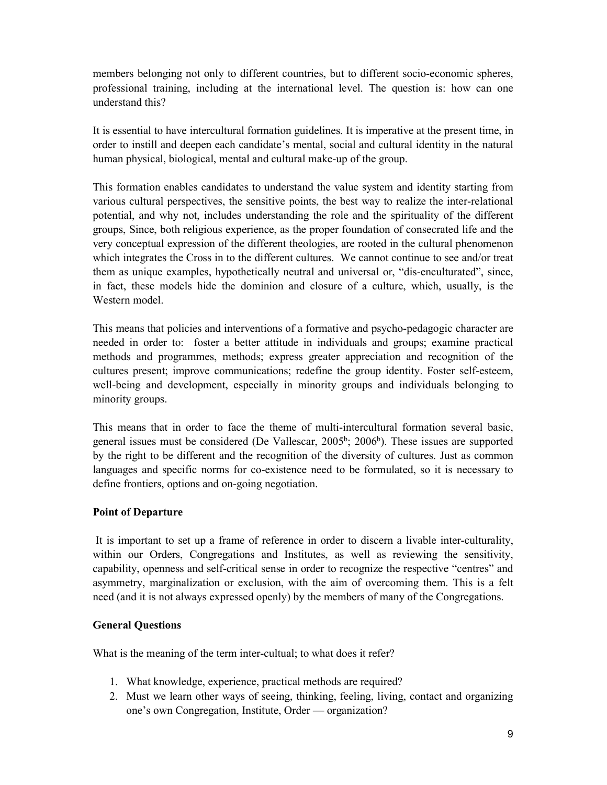members belonging not only to different countries, but to different socio-economic spheres, professional training, including at the international level. The question is: how can one understand this?

It is essential to have intercultural formation guidelines. It is imperative at the present time, in order to instill and deepen each candidate's mental, social and cultural identity in the natural human physical, biological, mental and cultural make-up of the group.

This formation enables candidates to understand the value system and identity starting from various cultural perspectives, the sensitive points, the best way to realize the inter-relational potential, and why not, includes understanding the role and the spirituality of the different groups, Since, both religious experience, as the proper foundation of consecrated life and the very conceptual expression of the different theologies, are rooted in the cultural phenomenon which integrates the Cross in to the different cultures. We cannot continue to see and/or treat them as unique examples, hypothetically neutral and universal or, "dis-enculturated", since, in fact, these models hide the dominion and closure of a culture, which, usually, is the Western model.

This means that policies and interventions of a formative and psycho-pedagogic character are needed in order to: foster a better attitude in individuals and groups; examine practical methods and programmes, methods; express greater appreciation and recognition of the cultures present; improve communications; redefine the group identity. Foster self-esteem, well-being and development, especially in minority groups and individuals belonging to minority groups.

This means that in order to face the theme of multi-intercultural formation several basic, general issues must be considered (De Vallescar, 2005<sup>b</sup>; 2006<sup>b</sup>). These issues are supported by the right to be different and the recognition of the diversity of cultures. Just as common languages and specific norms for co-existence need to be formulated, so it is necessary to define frontiers, options and on-going negotiation.

### **Point of Departure**

It is important to set up a frame of reference in order to discern a livable inter-culturality, within our Orders, Congregations and Institutes, as well as reviewing the sensitivity, capability, openness and self-critical sense in order to recognize the respective "centres" and asymmetry, marginalization or exclusion, with the aim of overcoming them. This is a felt need (and it is not always expressed openly) by the members of many of the Congregations.

### **General Questions**

What is the meaning of the term inter-cultual; to what does it refer?

- 1. What knowledge, experience, practical methods are required?
- 2. Must we learn other ways of seeing, thinking, feeling, living, contact and organizing one's own Congregation, Institute, Order — organization?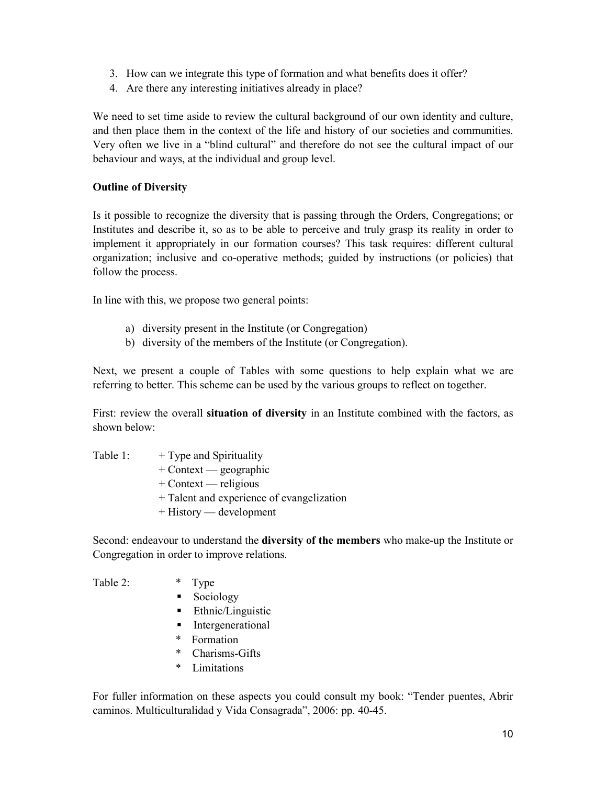- 3. How can we integrate this type of formation and what benefits does it offer?
- 4. Are there any interesting initiatives already in place?

We need to set time aside to review the cultural background of our own identity and culture, and then place them in the context of the life and history of our societies and communities. Very often we live in a "blind cultural" and therefore do not see the cultural impact of our behaviour and ways, at the individual and group level.

### **Outline of Diversity**

Is it possible to recognize the diversity that is passing through the Orders, Congregations; or Institutes and describe it, so as to be able to perceive and truly grasp its reality in order to implement it appropriately in our formation courses? This task requires: different cultural organization; inclusive and co-operative methods; guided by instructions (or policies) that follow the process.

In line with this, we propose two general points:

- a) diversity present in the Institute (or Congregation)
- b) diversity of the members of the Institute (or Congregation).

Next, we present a couple of Tables with some questions to help explain what we are referring to better. This scheme can be used by the various groups to reflect on together.

First: review the overall **situation of diversity** in an Institute combined with the factors, as shown below:

Table 1:  $+$  Type and Spirituality + Context — geographic + Context — religious + Talent and experience of evangelization + History — development

Second: endeavour to understand the **diversity of the members** who make-up the Institute or Congregation in order to improve relations.

Table 2:  $*$  Type Sociology **Ethnic/Linguistic Intergenerational**  \* Formation \* Charisms-Gifts

\* Limitations

For fuller information on these aspects you could consult my book: "Tender puentes, Abrir caminos. Multiculturalidad y Vida Consagrada", 2006: pp. 40-45.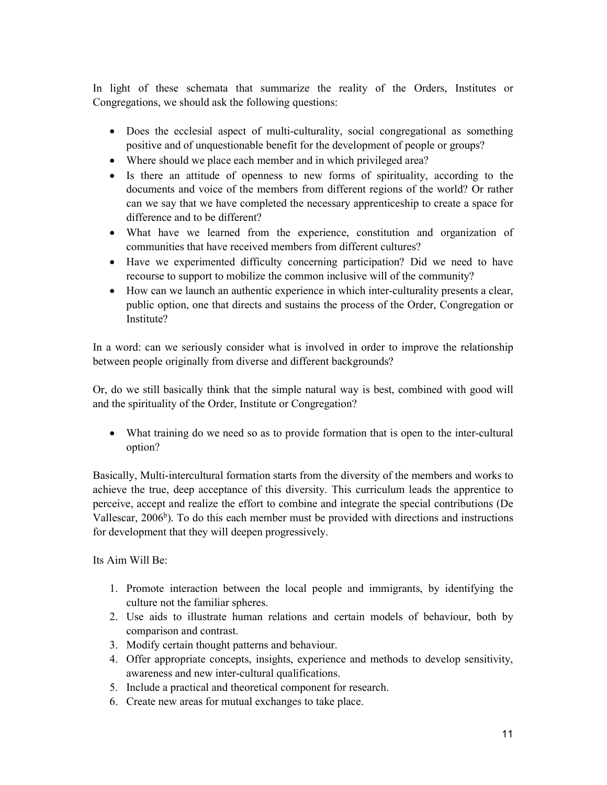In light of these schemata that summarize the reality of the Orders, Institutes or Congregations, we should ask the following questions:

- Does the ecclesial aspect of multi-culturality, social congregational as something positive and of unquestionable benefit for the development of people or groups?
- Where should we place each member and in which privileged area?
- Is there an attitude of openness to new forms of spirituality, according to the documents and voice of the members from different regions of the world? Or rather can we say that we have completed the necessary apprenticeship to create a space for difference and to be different?
- What have we learned from the experience, constitution and organization of communities that have received members from different cultures?
- Have we experimented difficulty concerning participation? Did we need to have recourse to support to mobilize the common inclusive will of the community?
- How can we launch an authentic experience in which inter-culturality presents a clear, public option, one that directs and sustains the process of the Order, Congregation or Institute?

In a word: can we seriously consider what is involved in order to improve the relationship between people originally from diverse and different backgrounds?

Or, do we still basically think that the simple natural way is best, combined with good will and the spirituality of the Order, Institute or Congregation?

 What training do we need so as to provide formation that is open to the inter-cultural option?

Basically, Multi-intercultural formation starts from the diversity of the members and works to achieve the true, deep acceptance of this diversity. This curriculum leads the apprentice to perceive, accept and realize the effort to combine and integrate the special contributions (De Vallescar,  $2006<sup>b</sup>$ ). To do this each member must be provided with directions and instructions for development that they will deepen progressively.

Its Aim Will Be:

- 1. Promote interaction between the local people and immigrants, by identifying the culture not the familiar spheres.
- 2. Use aids to illustrate human relations and certain models of behaviour, both by comparison and contrast.
- 3. Modify certain thought patterns and behaviour.
- 4. Offer appropriate concepts, insights, experience and methods to develop sensitivity, awareness and new inter-cultural qualifications.
- 5. Include a practical and theoretical component for research.
- 6. Create new areas for mutual exchanges to take place.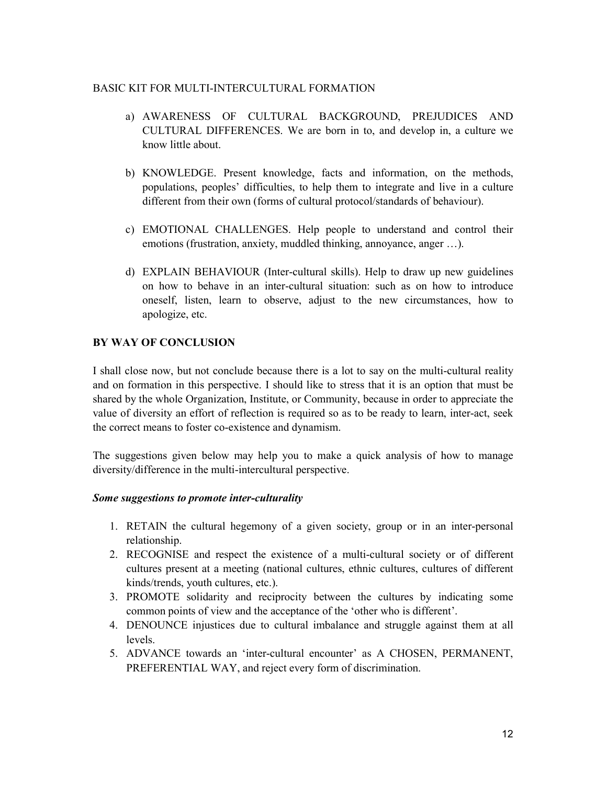#### BASIC KIT FOR MULTI-INTERCULTURAL FORMATION

- a) AWARENESS OF CULTURAL BACKGROUND, PREJUDICES AND CULTURAL DIFFERENCES. We are born in to, and develop in, a culture we know little about.
- b) KNOWLEDGE. Present knowledge, facts and information, on the methods, populations, peoples' difficulties, to help them to integrate and live in a culture different from their own (forms of cultural protocol/standards of behaviour).
- c) EMOTIONAL CHALLENGES. Help people to understand and control their emotions (frustration, anxiety, muddled thinking, annoyance, anger …).
- d) EXPLAIN BEHAVIOUR (Inter-cultural skills). Help to draw up new guidelines on how to behave in an inter-cultural situation: such as on how to introduce oneself, listen, learn to observe, adjust to the new circumstances, how to apologize, etc.

### **BY WAY OF CONCLUSION**

I shall close now, but not conclude because there is a lot to say on the multi-cultural reality and on formation in this perspective. I should like to stress that it is an option that must be shared by the whole Organization, Institute, or Community, because in order to appreciate the value of diversity an effort of reflection is required so as to be ready to learn, inter-act, seek the correct means to foster co-existence and dynamism.

The suggestions given below may help you to make a quick analysis of how to manage diversity/difference in the multi-intercultural perspective.

#### *Some suggestions to promote inter-culturality*

- 1. RETAIN the cultural hegemony of a given society, group or in an inter-personal relationship.
- 2. RECOGNISE and respect the existence of a multi-cultural society or of different cultures present at a meeting (national cultures, ethnic cultures, cultures of different kinds/trends, youth cultures, etc.).
- 3. PROMOTE solidarity and reciprocity between the cultures by indicating some common points of view and the acceptance of the 'other who is different'.
- 4. DENOUNCE injustices due to cultural imbalance and struggle against them at all levels.
- 5. ADVANCE towards an 'inter-cultural encounter' as A CHOSEN, PERMANENT, PREFERENTIAL WAY, and reject every form of discrimination.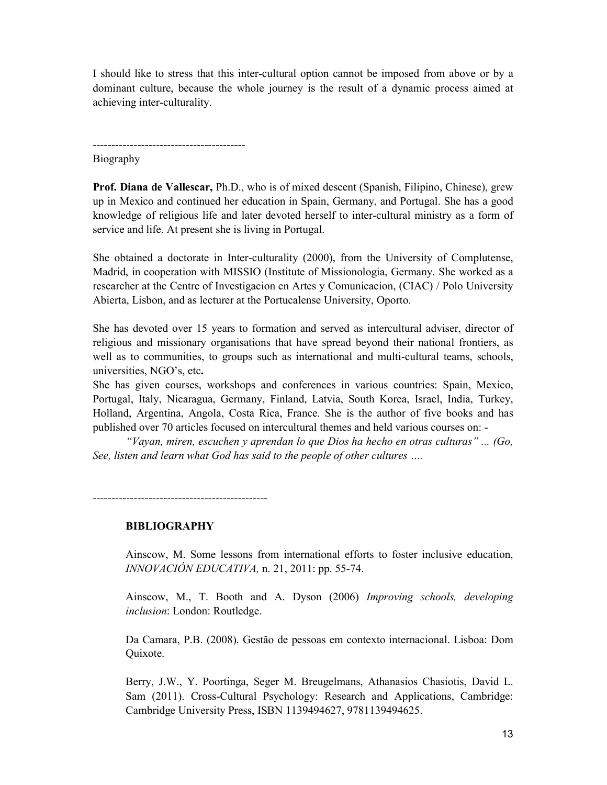I should like to stress that this inter-cultural option cannot be imposed from above or by a dominant culture, because the whole journey is the result of a dynamic process aimed at achieving inter-culturality.

----------------------------------------- Biography

**Prof. Diana de Vallescar,** Ph.D., who is of mixed descent (Spanish, Filipino, Chinese), grew up in Mexico and continued her education in Spain, Germany, and Portugal. She has a good knowledge of religious life and later devoted herself to inter-cultural ministry as a form of service and life. At present she is living in Portugal.

She obtained a doctorate in Inter-culturality (2000), from the University of Complutense, Madrid, in cooperation with MISSIO (Institute of Missionologia, Germany. She worked as a researcher at the Centre of Investigacion en Artes y Comunicacion, (CIAC) / Polo University Abierta, Lisbon, and as lecturer at the Portucalense University, Oporto.

She has devoted over 15 years to formation and served as intercultural adviser, director of religious and missionary organisations that have spread beyond their national frontiers, as well as to communities, to groups such as international and multi-cultural teams, schools, universities, NGO's, etc**.**

She has given courses, workshops and conferences in various countries: Spain, Mexico, Portugal, Italy, Nicaragua, Germany, Finland, Latvia, South Korea, Israel, India, Turkey, Holland, Argentina, Angola, Costa Rica, France. She is the author of five books and has published over 70 articles focused on intercultural themes and held various courses on: -

*"Vayan, miren, escuchen y aprendan lo que Dios ha hecho en otras culturas" ... (Go, See, listen and learn what God has said to the people of other cultures ….*

**BIBLIOGRAPHY**

-----------------------------------------------

Ainscow, M. Some lessons from international efforts to foster inclusive education, *INNOVACIÓN EDUCATIVA,* n. 21, 2011: pp. 55-74.

Ainscow, M., T. Booth and A. Dyson (2006) *Improving schools, developing inclusion*: London: Routledge.

Da Camara, P.B. (2008). Gestão de pessoas em contexto internacional. Lisboa: Dom Quixote.

Berry, J.W., Y. Poortinga, Seger M. Breugelmans, Athanasios Chasiotis, David L. Sam (2011). Cross-Cultural Psychology: Research and Applications, Cambridge: Cambridge University Press, ISBN 1139494627, 9781139494625.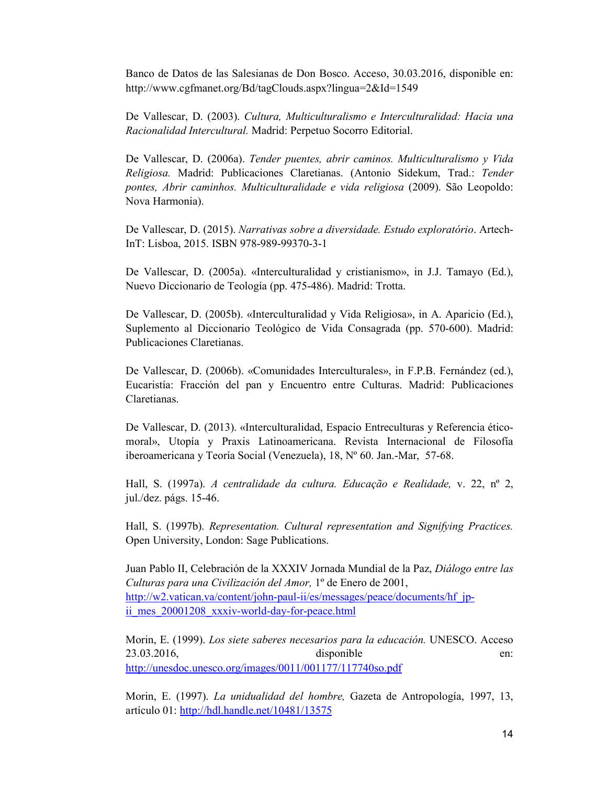Banco de Datos de las Salesianas de Don Bosco. Acceso, 30.03.2016, disponible en: http://www.cgfmanet.org/Bd/tagClouds.aspx?lingua=2&Id=1549

De Vallescar, D. (2003). *Cultura, Multiculturalismo e Interculturalidad: Hacia una Racionalidad Intercultural.* Madrid: Perpetuo Socorro Editorial.

De Vallescar, D. (2006a). *Tender puentes, abrir caminos. Multiculturalismo y Vida Religiosa.* Madrid: Publicaciones Claretianas. (Antonio Sidekum, Trad.: *Tender pontes, Abrir caminhos. Multiculturalidade e vida religiosa* (2009). São Leopoldo: Nova Harmonia).

De Vallescar, D. (2015). *Narrativas sobre a diversidade. Estudo exploratório*. Artech-InT: Lisboa, 2015. ISBN 978-989-99370-3-1

De Vallescar, D. (2005a). «Interculturalidad y cristianismo», in J.J. Tamayo (Ed.), Nuevo Diccionario de Teología (pp. 475-486). Madrid: Trotta.

De Vallescar, D. (2005b). «Interculturalidad y Vida Religiosa», in A. Aparicio (Ed.), Suplemento al Diccionario Teológico de Vida Consagrada (pp. 570-600). Madrid: Publicaciones Claretianas.

De Vallescar, D. (2006b). «Comunidades Interculturales», in F.P.B. Fernández (ed.), Eucaristía: Fracción del pan y Encuentro entre Culturas. Madrid: Publicaciones Claretianas.

De Vallescar, D. (2013). «Interculturalidad, Espacio Entreculturas y Referencia éticomoral», Utopía y Praxis Latinoamericana. Revista Internacional de Filosofía iberoamericana y Teoría Social (Venezuela), 18, Nº 60. Jan.-Mar, 57-68.

Hall, S. (1997a). *A centralidade da cultura. Educação e Realidade,* v. 22, nº 2, jul./dez. págs. 15-46.

Hall, S. (1997b). *Representation. Cultural representation and Signifying Practices.*  Open University, London: Sage Publications.

Juan Pablo II, Celebración de la XXXIV Jornada Mundial de la Paz, *Diálogo entre las Culturas para una Civilización del Amor,* 1º de Enero de 2001, http://w2.vatican.va/content/john-paul-ii/es/messages/peace/documents/hf\_jpii mes 20001208 xxxiv-world-day-for-peace.html

Morin, E. (1999). *Los siete saberes necesarios para la educación.* UNESCO. Acceso 23.03.2016, disponible en: http://unesdoc.unesco.org/images/0011/001177/117740so.pdf

Morin, E. (1997). *La unidualidad del hombre,* Gazeta de Antropología, 1997, 13, artículo 01: http://hdl.handle.net/10481/13575